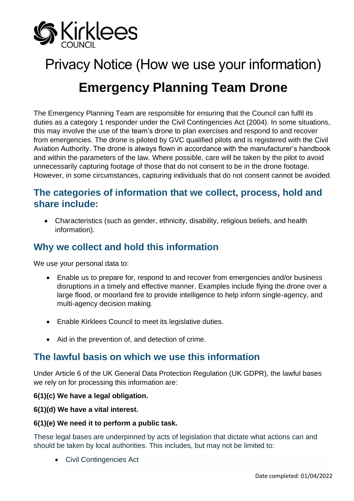

# Privacy Notice (How we use your information) **Emergency Planning Team Drone**

The Emergency Planning Team are responsible for ensuring that the Council can fulfil its duties as a category 1 responder under the Civil Contingencies Act (2004). In some situations, this may involve the use of the team's drone to plan exercises and respond to and recover from emergencies. The drone is piloted by GVC qualified pilots and is registered with the Civil Aviation Authority. The drone is always flown in accordance with the manufacturer's handbook and within the parameters of the law. Where possible, care will be taken by the pilot to avoid unnecessarily capturing footage of those that do not consent to be in the drone footage. However, in some circumstances, capturing individuals that do not consent cannot be avoided.

## **The categories of information that we collect, process, hold and share include:**

• Characteristics (such as gender, ethnicity, disability, religious beliefs, and health information).

## **Why we collect and hold this information**

We use your personal data to:

- Enable us to prepare for, respond to and recover from emergencies and/or business disruptions in a timely and effective manner. Examples include flying the drone over a large flood, or moorland fire to provide intelligence to help inform single-agency, and multi-agency decision making.
- Enable Kirklees Council to meet its legislative duties.
- Aid in the prevention of, and detection of crime.

## **The lawful basis on which we use this information**

Under Article 6 of the UK General Data Protection Regulation (UK GDPR), the lawful bases we rely on for processing this information are:

#### **6(1)(c) We have a legal obligation.**

**6(1)(d) We have a vital interest.**

#### **6(1)(e) We need it to perform a public task.**

These legal bases are underpinned by acts of legislation that dictate what actions can and should be taken by local authorities. This includes, but may not be limited to:

• Civil Contingencies Act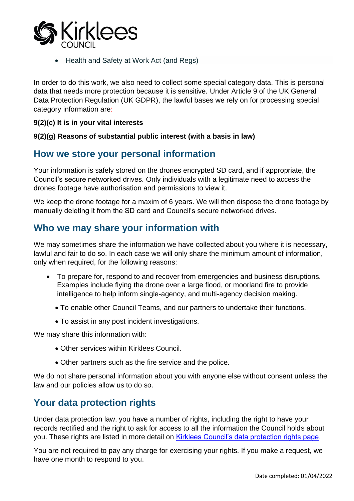

• Health and Safety at Work Act (and Regs)

In order to do this work, we also need to collect some special category data. This is personal data that needs more protection because it is sensitive. Under Article 9 of the UK General Data Protection Regulation (UK GDPR), the lawful bases we rely on for processing special category information are:

#### **9(2)(c) It is in your vital interests**

#### **9(2)(g) Reasons of substantial public interest (with a basis in law)**

## **How we store your personal information**

Your information is safely stored on the drones encrypted SD card, and if appropriate, the Council's secure networked drives. Only individuals with a legitimate need to access the drones footage have authorisation and permissions to view it.

We keep the drone footage for a maxim of 6 years. We will then dispose the drone footage by manually deleting it from the SD card and Council's secure networked drives.

## **Who we may share your information with**

We may sometimes share the information we have collected about you where it is necessary, lawful and fair to do so. In each case we will only share the minimum amount of information, only when required, for the following reasons:

- To prepare for, respond to and recover from emergencies and business disruptions. Examples include flying the drone over a large flood, or moorland fire to provide intelligence to help inform single-agency, and multi-agency decision making.
	- To enable other Council Teams, and our partners to undertake their functions.
	- To assist in any post incident investigations.

We may share this information with:

- Other services within Kirklees Council.
- Other partners such as the fire service and the police.

We do not share personal information about you with anyone else without consent unless the law and our policies allow us to do so.

## **Your data protection rights**

Under data protection law, you have a number of rights, including the right to have your records rectified and the right to ask for access to all the information the Council holds about you. These rights are listed in more detail on [Kirklees Council's data protection rights page.](https://www.kirklees.gov.uk/beta/information-and-data/general-data-protection-regulation.aspx)

You are not required to pay any charge for exercising your rights. If you make a request, we have one month to respond to you.